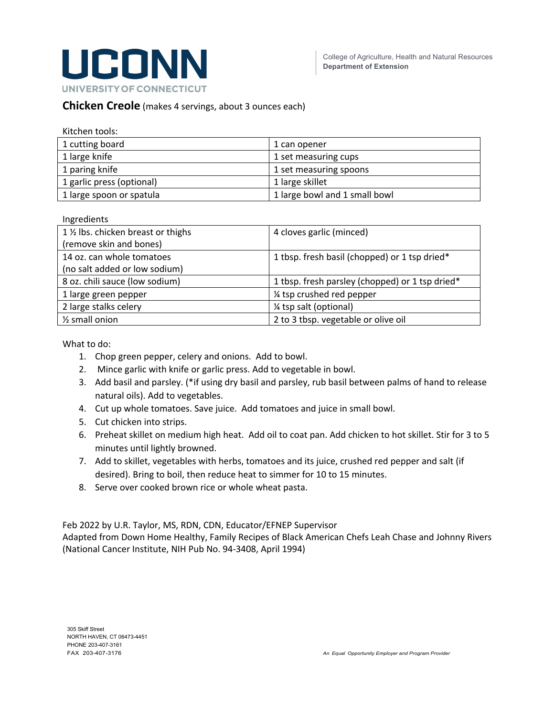

### **Chicken Creole** (makes 4 servings, about 3 ounces each)

| Kitchen tools:            |                               |
|---------------------------|-------------------------------|
| 1 cutting board           | 1 can opener                  |
| 1 large knife             | 1 set measuring cups          |
| 1 paring knife            | 1 set measuring spoons        |
| 1 garlic press (optional) | 1 large skillet               |
| 1 large spoon or spatula  | 1 large bowl and 1 small bowl |

#### Ingredients

| 1 % lbs. chicken breast or thighs | 4 cloves garlic (minced)                        |
|-----------------------------------|-------------------------------------------------|
| (remove skin and bones)           |                                                 |
| 14 oz. can whole tomatoes         | 1 tbsp. fresh basil (chopped) or 1 tsp dried*   |
| (no salt added or low sodium)     |                                                 |
| 8 oz. chili sauce (low sodium)    | 1 tbsp. fresh parsley (chopped) or 1 tsp dried* |
| 1 large green pepper              | 1/4 tsp crushed red pepper                      |
| 2 large stalks celery             | 1/4 tsp salt (optional)                         |
| $\frac{1}{2}$ small onion         | 2 to 3 tbsp. vegetable or olive oil             |

What to do:

- 1. Chop green pepper, celery and onions. Add to bowl.
- 2. Mince garlic with knife or garlic press. Add to vegetable in bowl.
- 3. Add basil and parsley. (\*if using dry basil and parsley, rub basil between palms of hand to release natural oils). Add to vegetables.
- 4. Cut up whole tomatoes. Save juice. Add tomatoes and juice in small bowl.
- 5. Cut chicken into strips.
- 6. Preheat skillet on medium high heat. Add oil to coat pan. Add chicken to hot skillet. Stir for 3 to 5 minutes until lightly browned.
- 7. Add to skillet, vegetables with herbs, tomatoes and its juice, crushed red pepper and salt (if desired). Bring to boil, then reduce heat to simmer for 10 to 15 minutes.
- 8. Serve over cooked brown rice or whole wheat pasta.

Feb 2022 by U.R. Taylor, MS, RDN, CDN, Educator/EFNEP Supervisor

Adapted from Down Home Healthy, Family Recipes of Black American Chefs Leah Chase and Johnny Rivers (National Cancer Institute, NIH Pub No. 94-3408, April 1994)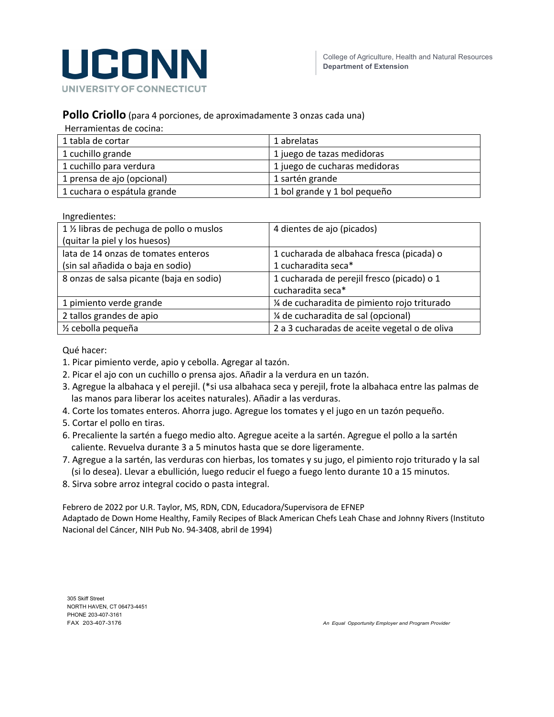

#### **Pollo Criollo** (para 4 porciones, de aproximadamente 3 onzas cada una)

Herramientas de cocina:

| 1 tabla de cortar           | 1 abrelatas                   |
|-----------------------------|-------------------------------|
| 1 cuchillo grande           | 1 juego de tazas medidoras    |
| 1 cuchillo para verdura     | 1 juego de cucharas medidoras |
| 1 prensa de ajo (opcional)  | 1 sartén grande               |
| 1 cuchara o espátula grande | 1 bol grande y 1 bol pequeño  |

Ingredientes:

| 1 % libras de pechuga de pollo o muslos  | 4 dientes de ajo (picados)                    |
|------------------------------------------|-----------------------------------------------|
| (quitar la piel y los huesos)            |                                               |
| lata de 14 onzas de tomates enteros      | 1 cucharada de albahaca fresca (picada) o     |
| (sin sal añadida o baja en sodio)        | 1 cucharadita seca*                           |
| 8 onzas de salsa picante (baja en sodio) | 1 cucharada de perejil fresco (picado) o 1    |
|                                          | cucharadita seca*                             |
| 1 pimiento verde grande                  | ¼ de cucharadita de pimiento rojo triturado   |
| 2 tallos grandes de apio                 | ¼ de cucharadita de sal (opcional)            |
| 1/ <sub>2</sub> cebolla pequeña          | 2 a 3 cucharadas de aceite vegetal o de oliva |

Qué hacer:

- 1. Picar pimiento verde, apio y cebolla. Agregar al tazón.
- 2. Picar el ajo con un cuchillo o prensa ajos. Añadir a la verdura en un tazón.
- 3. Agregue la albahaca y el perejil. (\*si usa albahaca seca y perejil, frote la albahaca entre las palmas de las manos para liberar los aceites naturales). Añadir a las verduras.
- 4. Corte los tomates enteros. Ahorra jugo. Agregue los tomates y el jugo en un tazón pequeño.
- 5. Cortar el pollo en tiras.
- 6. Precaliente la sartén a fuego medio alto. Agregue aceite a la sartén. Agregue el pollo a la sartén caliente. Revuelva durante 3 a 5 minutos hasta que se dore ligeramente.
- 7. Agregue a la sartén, las verduras con hierbas, los tomates y su jugo, el pimiento rojo triturado y la sal (si lo desea). Llevar a ebullición, luego reducir el fuego a fuego lento durante 10 a 15 minutos.
- 8. Sirva sobre arroz integral cocido o pasta integral.

Febrero de 2022 por U.R. Taylor, MS, RDN, CDN, Educadora/Supervisora de EFNEP Adaptado de Down Home Healthy, Family Recipes of Black American Chefs Leah Chase and Johnny Rivers (Instituto Nacional del Cáncer, NIH Pub No. 94-3408, abril de 1994)

305 Skiff Street NORTH HAVEN, CT 06473-4451 PHONE 203-407-3161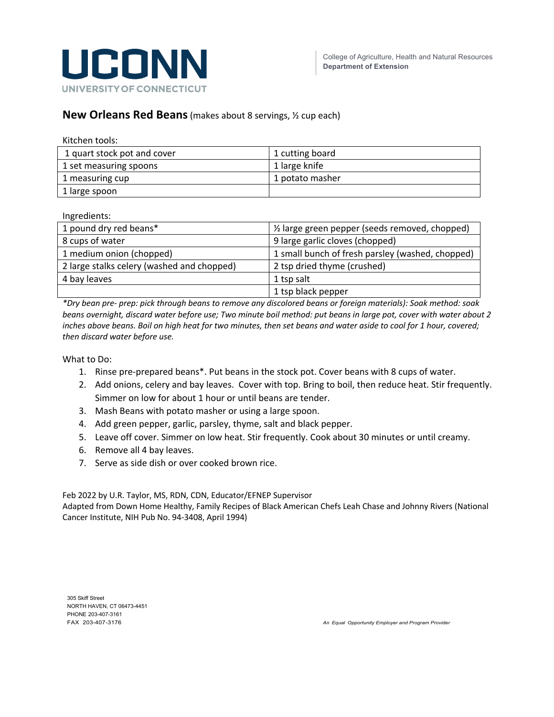

## **New Orleans Red Beans**(makes about 8 servings, ½ cup each)

| Kitchen tools:              |                 |
|-----------------------------|-----------------|
| 1 quart stock pot and cover | 1 cutting board |
| 1 set measuring spoons      | 1 large knife   |
| 1 measuring cup             | 1 potato masher |
| 1 large spoon               |                 |

Ingredients:

| 1 pound dry red beans*                     | 1/2 large green pepper (seeds removed, chopped)  |
|--------------------------------------------|--------------------------------------------------|
| 8 cups of water                            | 9 large garlic cloves (chopped)                  |
| 1 medium onion (chopped)                   | 1 small bunch of fresh parsley (washed, chopped) |
| 2 large stalks celery (washed and chopped) | 2 tsp dried thyme (crushed)                      |
| 4 bay leaves                               | 1 tsp salt                                       |
|                                            | 1 tsp black pepper                               |

*\*Dry bean pre- prep: pick through beans to remove any discolored beans or foreign materials): Soak method: soak beans overnight, discard water before use; Two minute boil method: put beans in large pot, cover with water about 2 inches above beans. Boil on high heat for two minutes, then set beans and water aside to cool for 1 hour, covered; then discard water before use.*

What to Do:

- 1. Rinse pre-prepared beans\*. Put beans in the stock pot. Cover beans with 8 cups of water.
- 2. Add onions, celery and bay leaves. Cover with top. Bring to boil, then reduce heat. Stir frequently. Simmer on low for about 1 hour or until beans are tender.
- 3. Mash Beans with potato masher or using a large spoon.
- 4. Add green pepper, garlic, parsley, thyme, salt and black pepper.
- 5. Leave off cover. Simmer on low heat. Stir frequently. Cook about 30 minutes or until creamy.
- 6. Remove all 4 bay leaves.
- 7. Serve as side dish or over cooked brown rice.

Feb 2022 by U.R. Taylor, MS, RDN, CDN, Educator/EFNEP Supervisor

Adapted from Down Home Healthy, Family Recipes of Black American Chefs Leah Chase and Johnny Rivers (National Cancer Institute, NIH Pub No. 94-3408, April 1994)

305 Skiff Street NORTH HAVEN, CT 06473-4451 PHONE 203-407-3161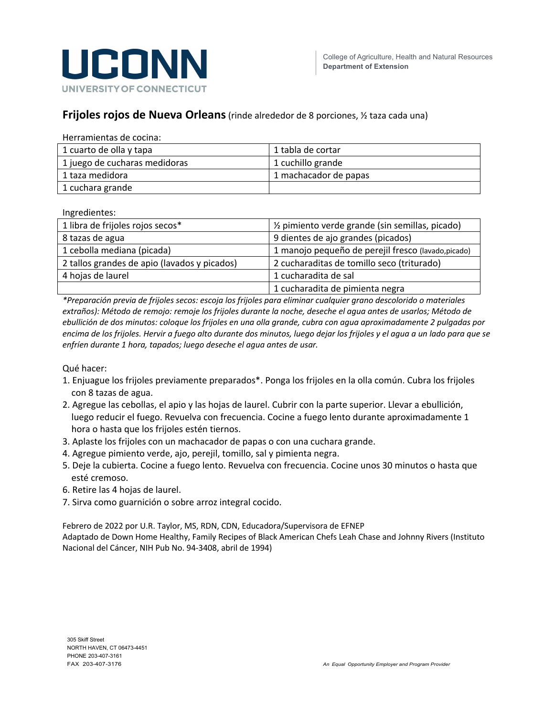

# **Frijoles rojos de Nueva Orleans**(rinde alrededor de 8 porciones, ½ taza cada una)

| 1 cuarto de olla y tapa       | 1 tabla de cortar     |
|-------------------------------|-----------------------|
| 1 juego de cucharas medidoras | 1 cuchillo grande     |
| 1 taza medidora               | 1 machacador de papas |
| 1 cuchara grande              |                       |

Ingredientes:

| 1 libra de frijoles rojos secos*             | 1/2 pimiento verde grande (sin semillas, picado)    |
|----------------------------------------------|-----------------------------------------------------|
| 8 tazas de agua                              | 9 dientes de ajo grandes (picados)                  |
| 1 cebolla mediana (picada)                   | 1 manojo pequeño de perejil fresco (lavado, picado) |
| 2 tallos grandes de apio (lavados y picados) | 2 cucharaditas de tomillo seco (triturado)          |
| 4 hojas de laurel                            | 1 cucharadita de sal                                |
|                                              | 1 cucharadita de pimienta negra                     |

*\*Preparación previa de frijoles secos: escoja los frijoles para eliminar cualquier grano descolorido o materiales extraños): Método de remojo: remoje los frijoles durante la noche, deseche el agua antes de usarlos; Método de ebullición de dos minutos: coloque los frijoles en una olla grande, cubra con agua aproximadamente 2 pulgadas por encima de los frijoles. Hervir a fuego alto durante dos minutos, luego dejar los frijoles y el agua a un lado para que se enfríen durante 1 hora, tapados; luego deseche el agua antes de usar.*

Qué hacer:

- 1. Enjuague los frijoles previamente preparados\*. Ponga los frijoles en la olla común. Cubra los frijoles con 8 tazas de agua.
- 2. Agregue las cebollas, el apio y las hojas de laurel. Cubrir con la parte superior. Llevar a ebullición, luego reducir el fuego. Revuelva con frecuencia. Cocine a fuego lento durante aproximadamente 1 hora o hasta que los frijoles estén tiernos.
- 3. Aplaste los frijoles con un machacador de papas o con una cuchara grande.
- 4. Agregue pimiento verde, ajo, perejil, tomillo, sal y pimienta negra.
- 5. Deje la cubierta. Cocine a fuego lento. Revuelva con frecuencia. Cocine unos 30 minutos o hasta que esté cremoso.
- 6. Retire las 4 hojas de laurel.
- 7. Sirva como guarnición o sobre arroz integral cocido.

Febrero de 2022 por U.R. Taylor, MS, RDN, CDN, Educadora/Supervisora de EFNEP Adaptado de Down Home Healthy, Family Recipes of Black American Chefs Leah Chase and Johnny Rivers (Instituto Nacional del Cáncer, NIH Pub No. 94-3408, abril de 1994)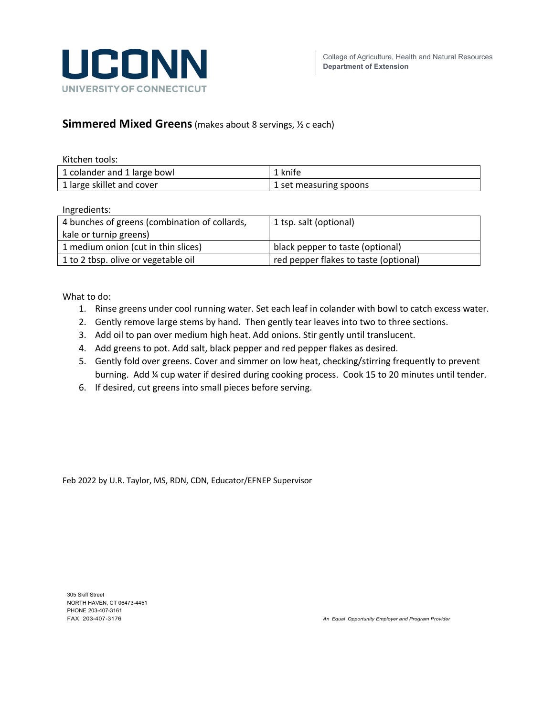

# **Simmered Mixed Greens**(makes about 8 servings, ½ c each)

| Kitchen tools:              |                        |
|-----------------------------|------------------------|
| 1 colander and 1 large bowl | 1 knife                |
| 1 large skillet and cover   | 1 set measuring spoons |

Ingredients:

| 1 tsp. salt (optional)                |
|---------------------------------------|
|                                       |
| black pepper to taste (optional)      |
| red pepper flakes to taste (optional) |
|                                       |

What to do:

- 1. Rinse greens under cool running water. Set each leaf in colander with bowl to catch excess water.
- 2. Gently remove large stems by hand. Then gently tear leaves into two to three sections.
- 3. Add oil to pan over medium high heat. Add onions. Stir gently until translucent.
- 4. Add greens to pot. Add salt, black pepper and red pepper flakes as desired.
- 5. Gently fold over greens. Cover and simmer on low heat, checking/stirring frequently to prevent burning. Add ¼ cup water if desired during cooking process. Cook 15 to 20 minutes until tender.
- 6. If desired, cut greens into small pieces before serving.

Feb 2022 by U.R. Taylor, MS, RDN, CDN, Educator/EFNEP Supervisor

305 Skiff Street NORTH HAVEN, CT 06473-4451 PHONE 203-407-3161